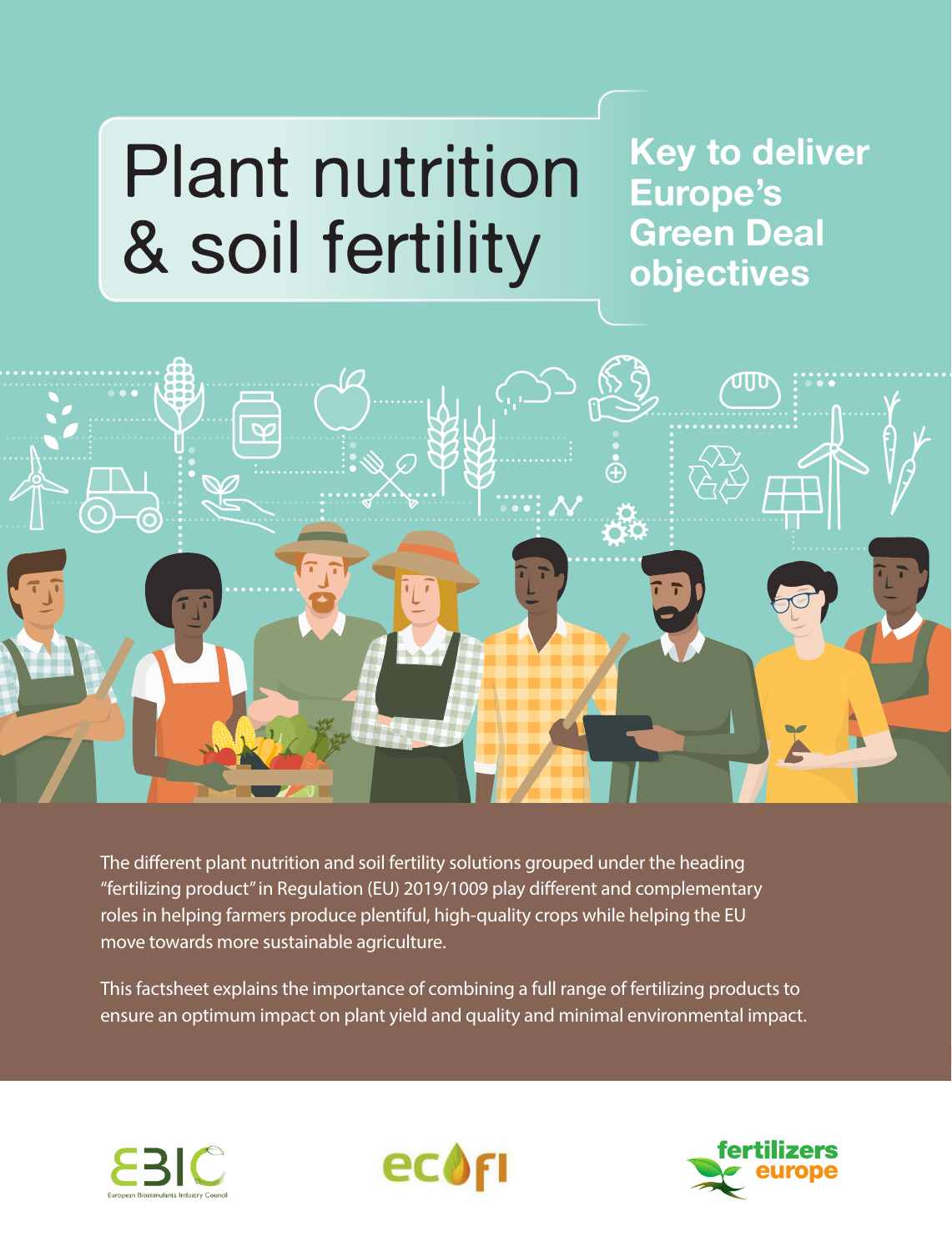# Plant nutrition & soil fertility

**Key to deliver Europe's Green Deal objectives**



The different plant nutrition and soil fertility solutions grouped under the heading "fertilizing product" in Regulation (EU) 2019/1009 play different and complementary roles in helping farmers produce plentiful, high-quality crops while helping the EU move towards more sustainable agriculture.

This factsheet explains the importance of combining a full range of fertilizing products to ensure an optimum impact on plant yield and quality and minimal environmental impact.





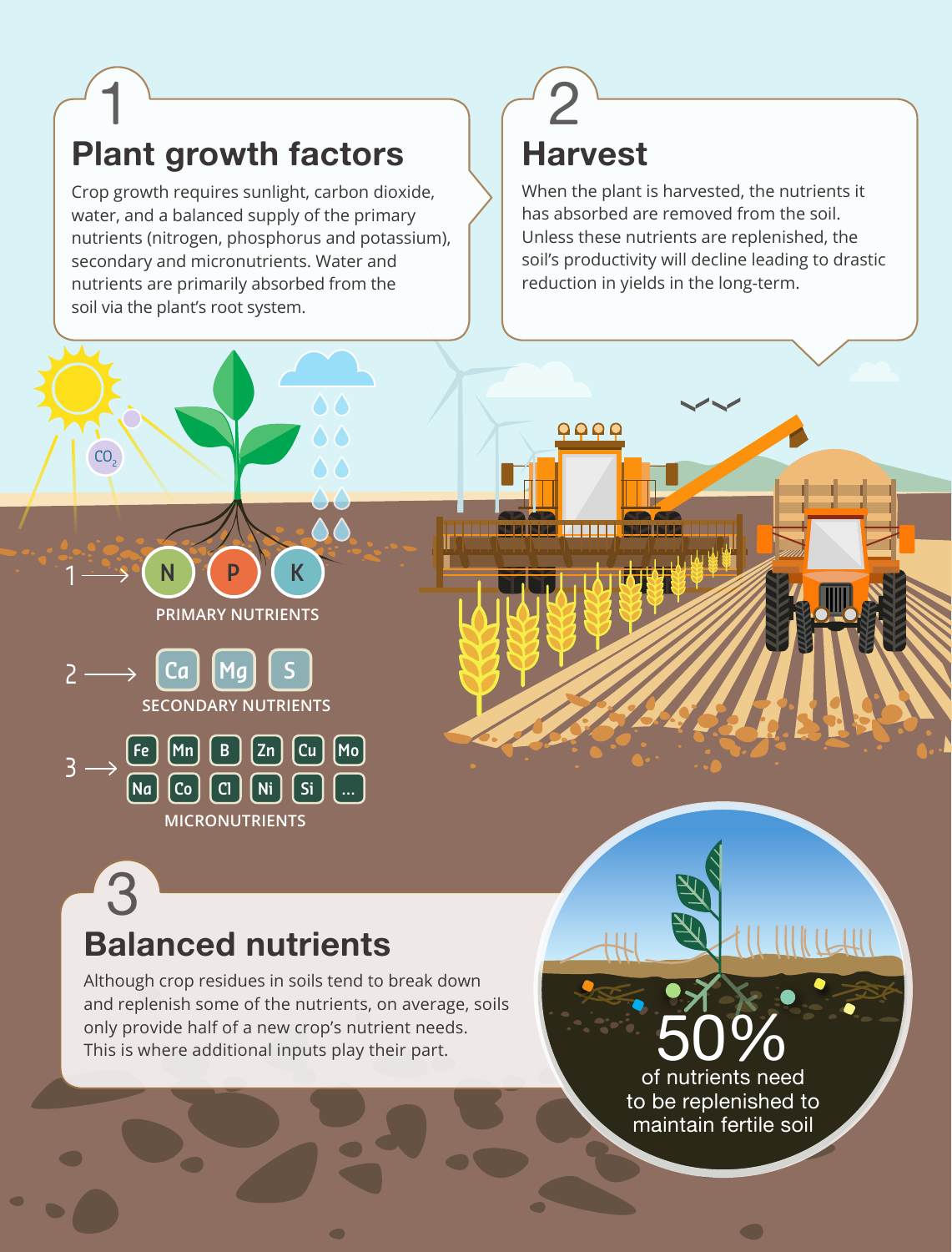## **Plant growth factors**  1

 $CO<sub>2</sub>$ 

1

2

3

Crop growth requires sunlight, carbon dioxide, water, and a balanced supply of the primary nutrients (nitrogen, phosphorus and potassium), secondary and micronutrients. Water and nutrients are primarily absorbed from the soil via the plant's root system.

## **Harvest** 2

 $\begin{array}{ccc} \textcircled{0} & \textcircled{1} & \textcircled{1} & \textcircled{1} \end{array}$ 

<u> Principal za najveći interesti i poznata princip</u>

When the plant is harvested, the nutrients it has absorbed are removed from the soil. Unless these nutrients are replenished, the soil's productivity will decline leading to drastic reduction in yields in the long-term.



**PRIMARY NUTRIENTS**

**SECONDARY NUTRIENTS**

**Fe Mn B Zn Cu Mo**

**MICRONUTRIENTS**

**Na Co Cl Ni Si ...**

**Ca Mg S**

**N P K**

Although crop residues in soils tend to break down and replenish some of the nutrients, on average, soils only provide half of a new crop's nutrient needs. This is where additional inputs play their part.

 $\sqrt{2}$ 

50%

of nutrients need to be replenished to maintain fertile soil

 $\qquad \qquad \qquad \qquad$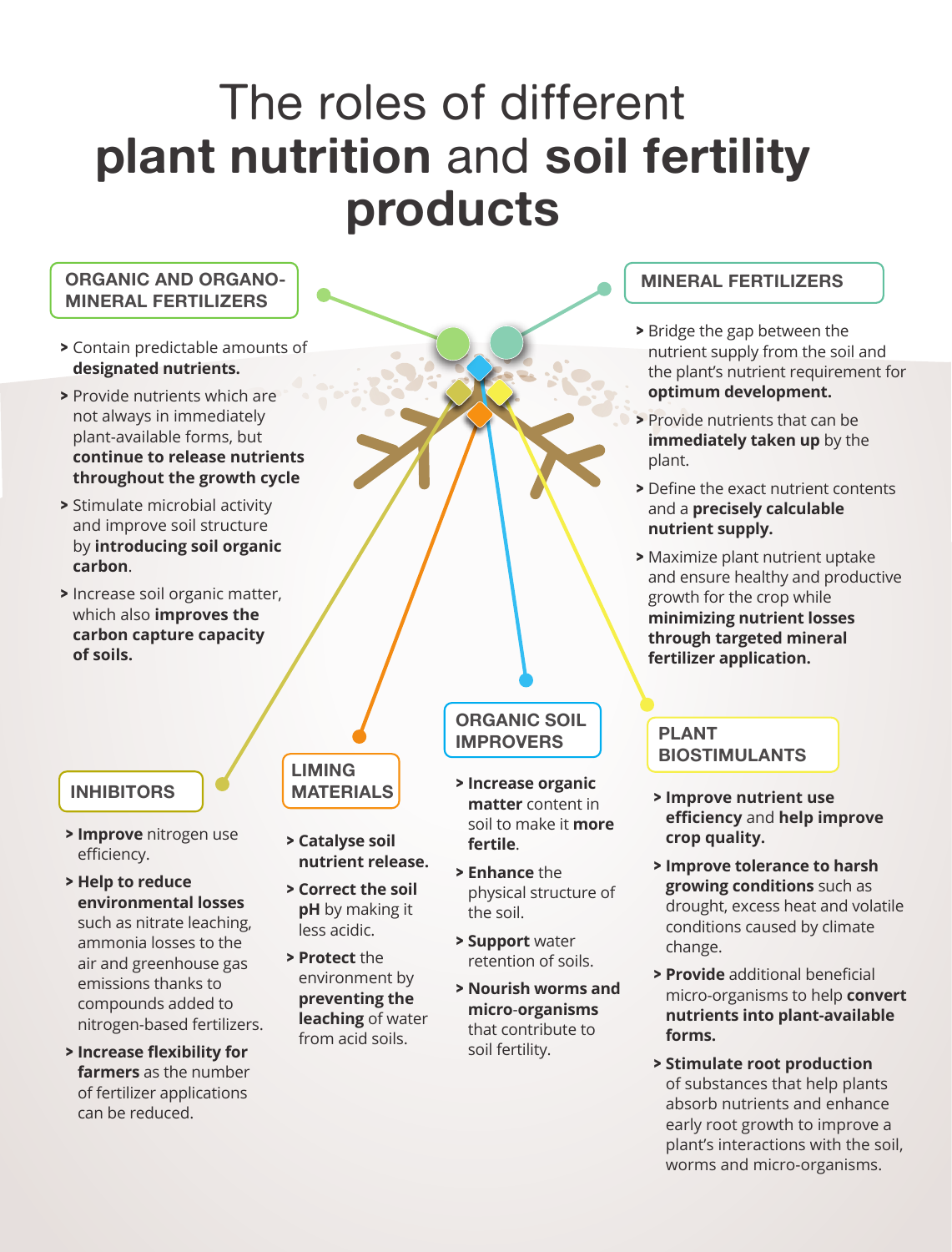## The roles of different **plant nutrition** and **soil fertility products**

## **ORGANIC AND ORGANO- MINERAL FERTILIZERS**

- **>** Contain predictable amounts of **designated nutrients.**
- **>** Provide nutrients which are not always in immediately plant-available forms, but **continue to release nutrients throughout the growth cycle**
- **>** Stimulate microbial activity and improve soil structure by **introducing soil organic carbon**.
- **>** Increase soil organic matter, which also **improves the carbon capture capacity of soils.**

## **INHIBITORS**

- **> Improve** nitrogen use efficiency.
- **> Help to reduce environmental losses**  such as nitrate leaching, ammonia losses to the air and greenhouse gas emissions thanks to compounds added to nitrogen-based fertilizers.
- **> Increase flexibility for farmers** as the number of fertilizer applications can be reduced.

### **LIMING MATERIALS**

- **> Catalyse soil nutrient release.**
- **> Correct the soil pH** by making it less acidic.
- **> Protect** the environment by **preventing the leaching** of water from acid soils.

## **ORGANIC SOIL IMPROVERS**

- **> Increase organic matter** content in soil to make it **more fertile**.
- **> Enhance** the physical structure of the soil.
- **> Support** water retention of soils.
- **> Nourish worms and micro**-**organisms** that contribute to soil fertility.

## **MINERAL FERTILIZERS**

- **>** Bridge the gap between the nutrient supply from the soil and the plant's nutrient requirement for **optimum development.**
- **>** Provide nutrients that can be **immediately taken up** by the plant.
- **>** Define the exact nutrient contents and a **precisely calculable nutrient supply.**
- **>** Maximize plant nutrient uptake and ensure healthy and productive growth for the crop while **minimizing nutrient losses through targeted mineral fertilizer application.**

### **PLANT BIOSTIMULANTS**

- **> Improve nutrient use efficiency** and **help improve crop quality.**
- **> Improve tolerance to harsh growing conditions** such as drought, excess heat and volatile conditions caused by climate change.
- **> Provide** additional beneficial micro-organisms to help **convert nutrients into plant-available forms.**
- **> Stimulate root production** of substances that help plants absorb nutrients and enhance early root growth to improve a plant's interactions with the soil, worms and micro-organisms.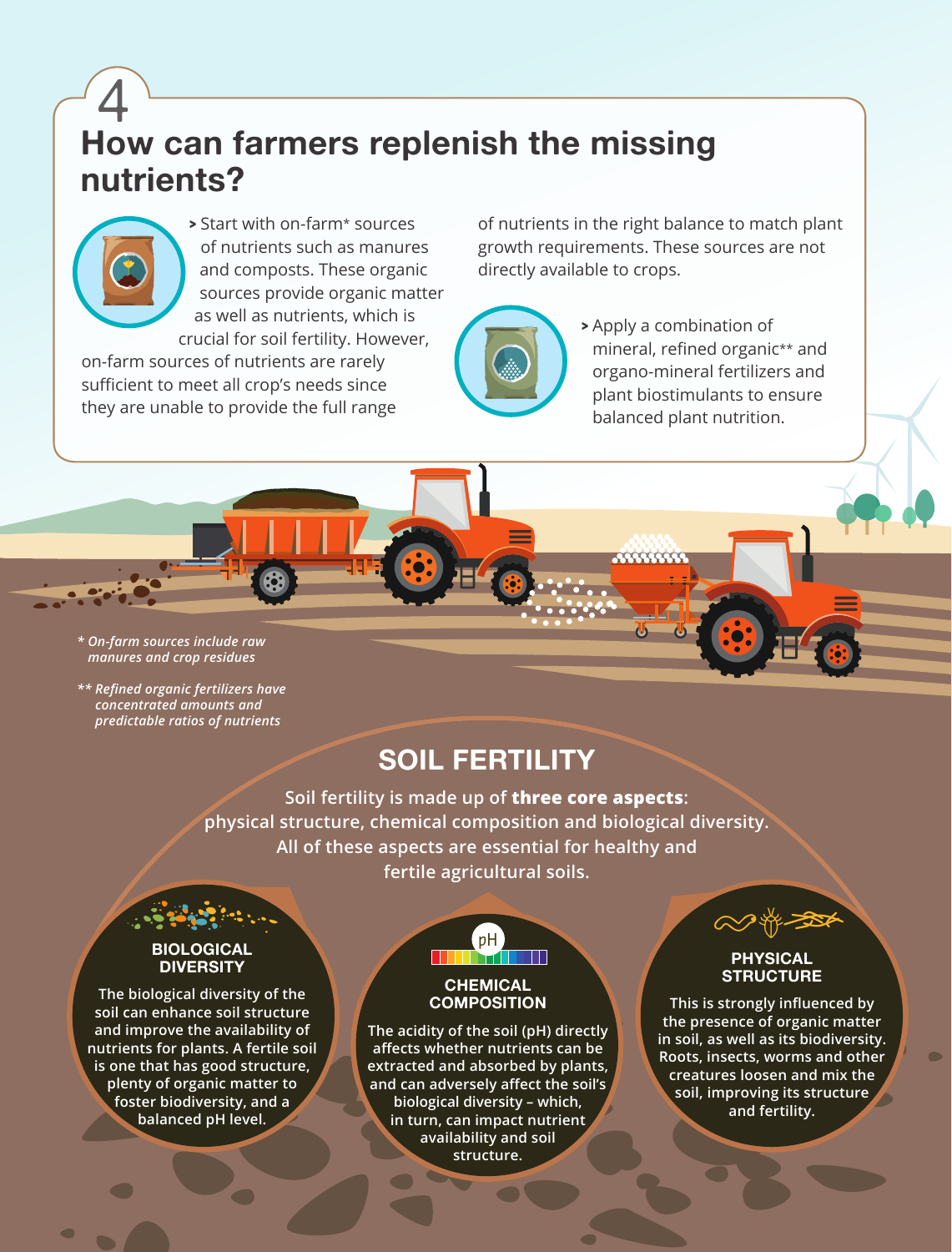## **How can farmers replenish the missing nutrients?** 4



**>** Start with on-farm\* sources of nutrients such as manures and composts. These organic sources provide organic matter as well as nutrients, which is crucial for soil fertility. However,

on-farm sources of nutrients are rarely sufficient to meet all crop's needs since they are unable to provide the full range of nutrients in the right balance to match plant growth requirements. These sources are not directly available to crops.

\*\*\*\*\*\*\*\*\*\*



**>** Apply a combination of mineral, refined organic\*\* and organo-mineral fertilizers and plant biostimulants to ensure balanced plant nutrition.

*\* On-farm sources include raw manures and crop residues*

*\*\* Refined organic fertilizers have concentrated amounts and predictable ratios of nutrients*

## **SOIL FERTILITY**

**Soil fertility is made up of three core aspects: physical structure, chemical composition and biological diversity. All of these aspects are essential for healthy and fertile agricultural soils.** 

## **BIOLOGICAL DIVERSITY**

**The biological diversity of the soil can enhance soil structure and improve the availability of nutrients for plants. A fertile soil is one that has good structure, plenty of organic matter to foster biodiversity, and a balanced pH level.**



### **CHEMICAL COMPOSITION**

**The acidity of the soil (pH) directly affects whether nutrients can be extracted and absorbed by plants, and can adversely affect the soil's biological diversity – which, in turn, can impact nutrient availability and soil structure.**



#### **PHYSICAL STRUCTURE**

**This is strongly influenced by the presence of organic matter in soil, as well as its biodiversity. Roots, insects, worms and other creatures loosen and mix the soil, improving its structure and fertility.**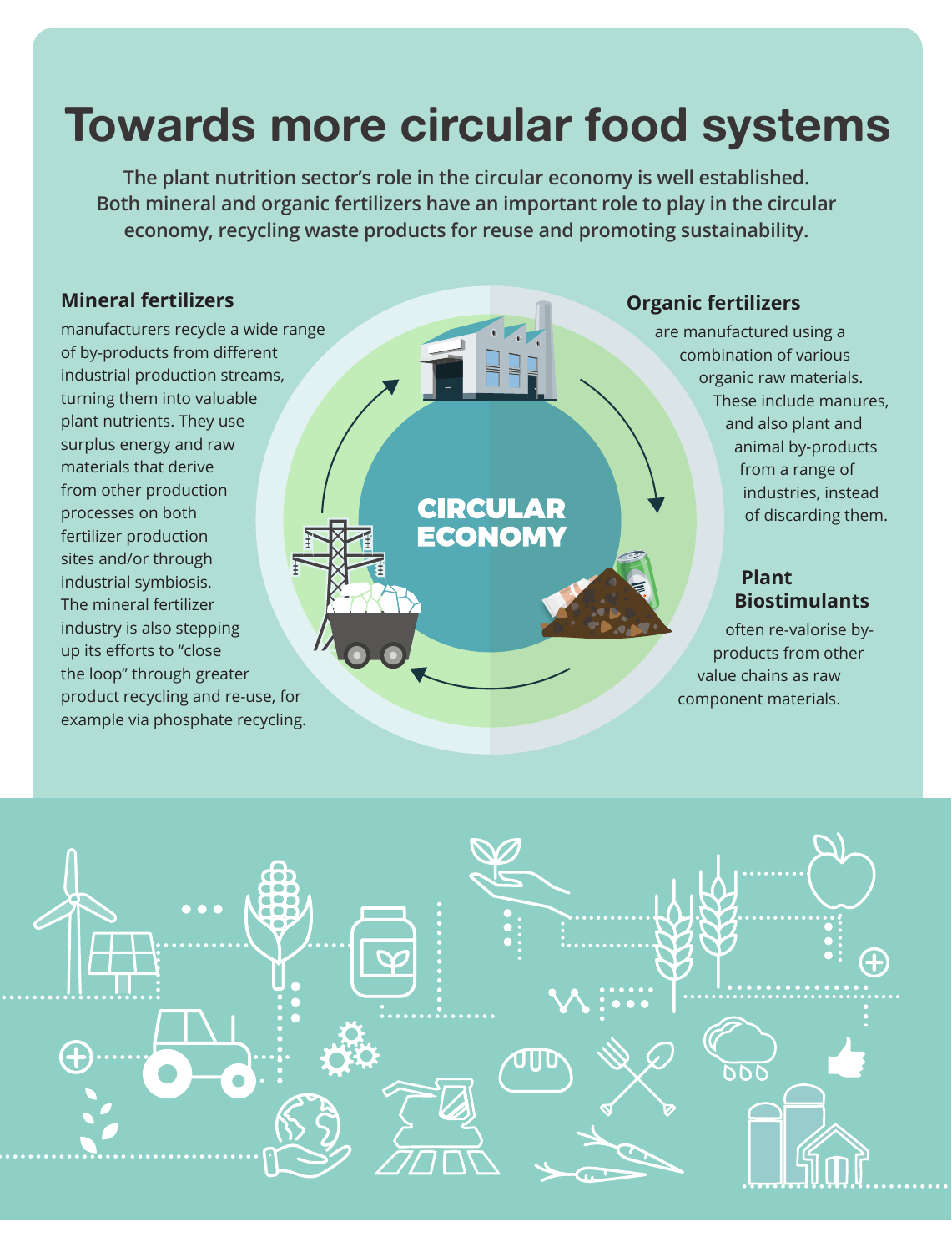## **Towards more circular food systems**

**The plant nutrition sector's role in the circular economy is well established. Both mineral and organic fertilizers have an important role to play in the circular economy, recycling waste products for reuse and promoting sustainability.**

**CIRCULAR**<br>ECONOMY

## **Mineral fertilizers**

manufacturers recycle a wide range of by-products from different industrial production streams, turning them into valuable plant nutrients. They use surplus energy and raw materials that derive from other production processes on both fertilizer production sites and/or through industrial symbiosis. The mineral fertilizer industry is also stepping up its efforts to "close the loop" through greater product recycling and re-use, for example via phosphate recycling.

## **Organic fertilizers**

are manufactured using a combination of various organic raw materials. These include manures, and also plant and animal by-products from a range of industries, instead of discarding them.

## **Plant Biostimulants**

often re-valorise byproducts from other value chains as raw component materials.